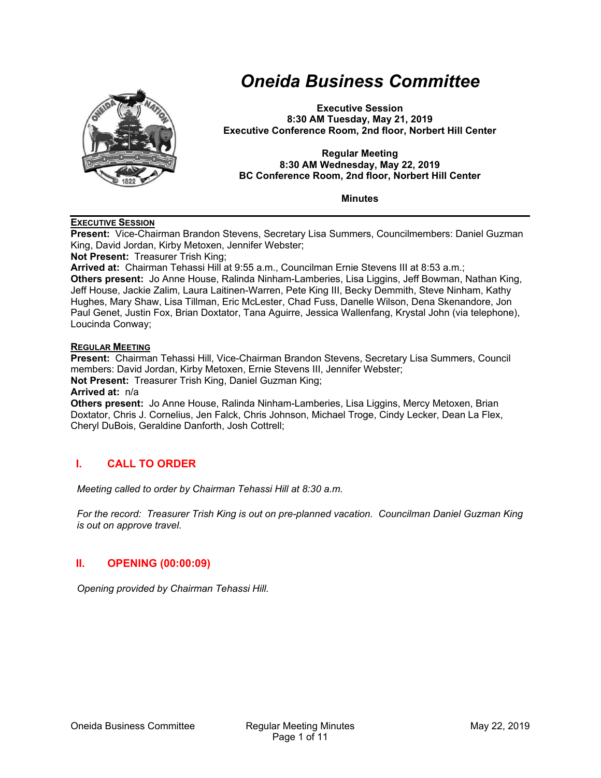

# *Oneida Business Committee*

**Executive Session 8:30 AM Tuesday, May 21, 2019 Executive Conference Room, 2nd floor, Norbert Hill Center** 

#### **Regular Meeting 8:30 AM Wednesday, May 22, 2019 BC Conference Room, 2nd floor, Norbert Hill Center**

**Minutes** 

#### **EXECUTIVE SESSION**

**Present:** Vice-Chairman Brandon Stevens, Secretary Lisa Summers, Councilmembers: Daniel Guzman King, David Jordan, Kirby Metoxen, Jennifer Webster;

**Not Present:** Treasurer Trish King;

**Arrived at:** Chairman Tehassi Hill at 9:55 a.m., Councilman Ernie Stevens III at 8:53 a.m.; **Others present:** Jo Anne House, Ralinda Ninham-Lamberies, Lisa Liggins, Jeff Bowman, Nathan King, Jeff House, Jackie Zalim, Laura Laitinen-Warren, Pete King III, Becky Demmith, Steve Ninham, Kathy Hughes, Mary Shaw, Lisa Tillman, Eric McLester, Chad Fuss, Danelle Wilson, Dena Skenandore, Jon Paul Genet, Justin Fox, Brian Doxtator, Tana Aguirre, Jessica Wallenfang, Krystal John (via telephone), Loucinda Conway;

#### **REGULAR MEETING**

**Present:** Chairman Tehassi Hill, Vice-Chairman Brandon Stevens, Secretary Lisa Summers, Council members: David Jordan, Kirby Metoxen, Ernie Stevens III, Jennifer Webster; **Not Present:** Treasurer Trish King, Daniel Guzman King;

#### **Arrived at:** n/a

**Others present:** Jo Anne House, Ralinda Ninham-Lamberies, Lisa Liggins, Mercy Metoxen, Brian Doxtator, Chris J. Cornelius, Jen Falck, Chris Johnson, Michael Troge, Cindy Lecker, Dean La Flex, Cheryl DuBois, Geraldine Danforth, Josh Cottrell;

# **I. CALL TO ORDER**

*Meeting called to order by Chairman Tehassi Hill at 8:30 a.m.* 

*For the record: Treasurer Trish King is out on pre-planned vacation. Councilman Daniel Guzman King is out on approve travel.* 

# **II. OPENING (00:00:09)**

*Opening provided by Chairman Tehassi Hill.*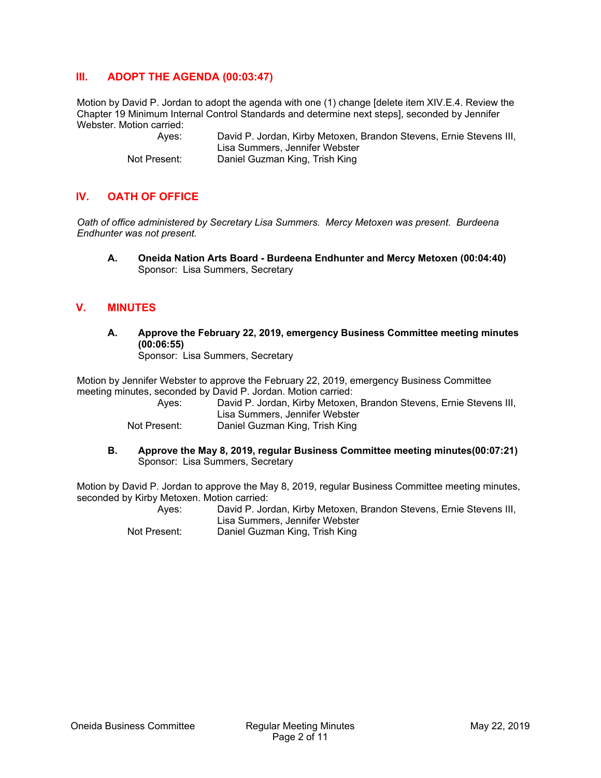## **III. ADOPT THE AGENDA (00:03:47)**

Motion by David P. Jordan to adopt the agenda with one (1) change [delete item XIV.E.4. Review the Chapter 19 Minimum Internal Control Standards and determine next steps], seconded by Jennifer Webster. Motion carried:

> Ayes: David P. Jordan, Kirby Metoxen, Brandon Stevens, Ernie Stevens III, Lisa Summers, Jennifer Webster Not Present: Daniel Guzman King, Trish King

# **IV. OATH OF OFFICE**

*Oath of office administered by Secretary Lisa Summers. Mercy Metoxen was present. Burdeena Endhunter was not present.* 

**A. Oneida Nation Arts Board - Burdeena Endhunter and Mercy Metoxen (00:04:40)**  Sponsor: Lisa Summers, Secretary

## **V. MINUTES**

**A. Approve the February 22, 2019, emergency Business Committee meeting minutes (00:06:55)** 

Sponsor: Lisa Summers, Secretary

Motion by Jennifer Webster to approve the February 22, 2019, emergency Business Committee meeting minutes, seconded by David P. Jordan. Motion carried:

| Aves:        | David P. Jordan, Kirby Metoxen, Brandon Stevens, Ernie Stevens III, |
|--------------|---------------------------------------------------------------------|
|              | Lisa Summers. Jennifer Webster                                      |
| Not Present: | Daniel Guzman King, Trish King                                      |

**B. Approve the May 8, 2019, regular Business Committee meeting minutes(00:07:21)**  Sponsor: Lisa Summers, Secretary

Motion by David P. Jordan to approve the May 8, 2019, regular Business Committee meeting minutes, seconded by Kirby Metoxen. Motion carried:

> Ayes: David P. Jordan, Kirby Metoxen, Brandon Stevens, Ernie Stevens III, Lisa Summers, Jennifer Webster Not Present: Daniel Guzman King, Trish King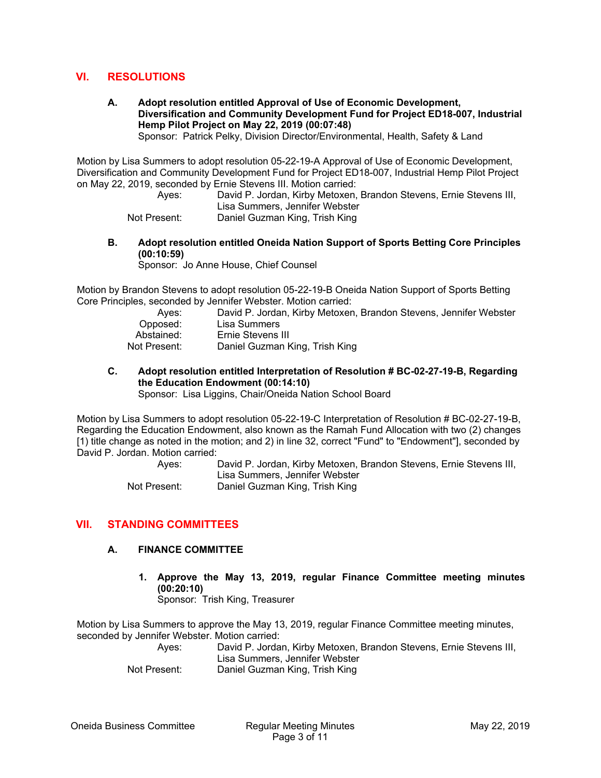## **VI. RESOLUTIONS**

**A. Adopt resolution entitled Approval of Use of Economic Development, Diversification and Community Development Fund for Project ED18-007, Industrial Hemp Pilot Project on May 22, 2019 (00:07:48)** 

Sponsor: Patrick Pelky, Division Director/Environmental, Health, Safety & Land

Motion by Lisa Summers to adopt resolution 05-22-19-A Approval of Use of Economic Development, Diversification and Community Development Fund for Project ED18-007, Industrial Hemp Pilot Project on May 22, 2019, seconded by Ernie Stevens III. Motion carried:

> Ayes: David P. Jordan, Kirby Metoxen, Brandon Stevens, Ernie Stevens III, Lisa Summers, Jennifer Webster Not Present: Daniel Guzman King, Trish King

**B. Adopt resolution entitled Oneida Nation Support of Sports Betting Core Principles (00:10:59)** 

Sponsor: Jo Anne House, Chief Counsel

Motion by Brandon Stevens to adopt resolution 05-22-19-B Oneida Nation Support of Sports Betting Core Principles, seconded by Jennifer Webster. Motion carried:

| David P. Jordan, Kirby Metoxen, Brandon Stevens, Jennifer Webster |
|-------------------------------------------------------------------|
| Lisa Summers                                                      |
| Ernie Stevens III                                                 |
| Daniel Guzman King, Trish King                                    |
|                                                                   |

**C. Adopt resolution entitled Interpretation of Resolution # BC-02-27-19-B, Regarding the Education Endowment (00:14:10)**  Sponsor: Lisa Liggins, Chair/Oneida Nation School Board

Motion by Lisa Summers to adopt resolution 05-22-19-C Interpretation of Resolution # BC-02-27-19-B, Regarding the Education Endowment, also known as the Ramah Fund Allocation with two (2) changes [1) title change as noted in the motion; and 2) in line 32, correct "Fund" to "Endowment"], seconded by David P. Jordan. Motion carried:

> Ayes: David P. Jordan, Kirby Metoxen, Brandon Stevens, Ernie Stevens III, Lisa Summers, Jennifer Webster Not Present: Daniel Guzman King, Trish King

## **VII. STANDING COMMITTEES**

#### **A. FINANCE COMMITTEE**

**1. Approve the May 13, 2019, regular Finance Committee meeting minutes (00:20:10)** 

Sponsor: Trish King, Treasurer

Motion by Lisa Summers to approve the May 13, 2019, regular Finance Committee meeting minutes, seconded by Jennifer Webster. Motion carried:

 Ayes: David P. Jordan, Kirby Metoxen, Brandon Stevens, Ernie Stevens III, Lisa Summers, Jennifer Webster

Not Present: Daniel Guzman King, Trish King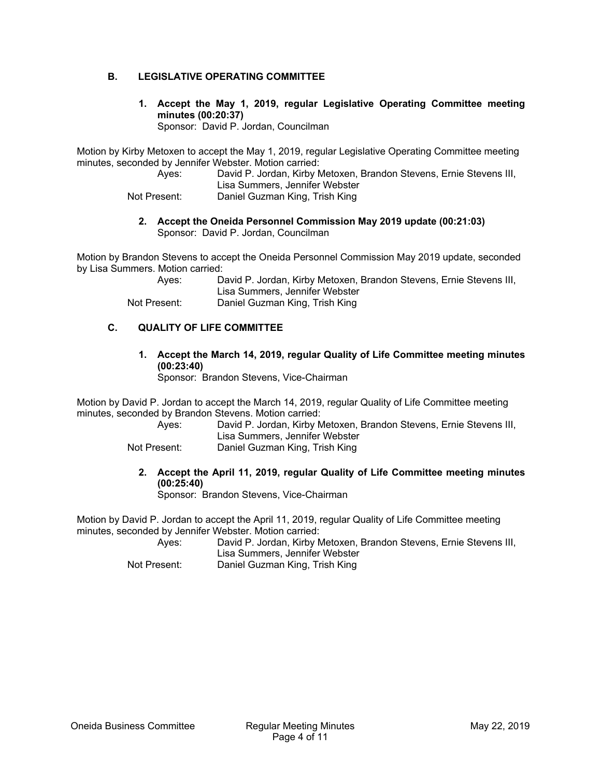## **B. LEGISLATIVE OPERATING COMMITTEE**

**1. Accept the May 1, 2019, regular Legislative Operating Committee meeting minutes (00:20:37)** 

Sponsor: David P. Jordan, Councilman

Motion by Kirby Metoxen to accept the May 1, 2019, regular Legislative Operating Committee meeting minutes, seconded by Jennifer Webster. Motion carried:

 Ayes: David P. Jordan, Kirby Metoxen, Brandon Stevens, Ernie Stevens III, Lisa Summers, Jennifer Webster

Not Present: Daniel Guzman King, Trish King

**2. Accept the Oneida Personnel Commission May 2019 update (00:21:03)**  Sponsor: David P. Jordan, Councilman

Motion by Brandon Stevens to accept the Oneida Personnel Commission May 2019 update, seconded by Lisa Summers. Motion carried:

 Ayes: David P. Jordan, Kirby Metoxen, Brandon Stevens, Ernie Stevens III, Lisa Summers, Jennifer Webster Not Present: Daniel Guzman King, Trish King

## **C. QUALITY OF LIFE COMMITTEE**

**1. Accept the March 14, 2019, regular Quality of Life Committee meeting minutes (00:23:40)** 

Sponsor: Brandon Stevens, Vice-Chairman

Motion by David P. Jordan to accept the March 14, 2019, regular Quality of Life Committee meeting minutes, seconded by Brandon Stevens. Motion carried:

| Aves:        | David P. Jordan, Kirby Metoxen, Brandon Stevens, Ernie Stevens III, |
|--------------|---------------------------------------------------------------------|
|              | Lisa Summers, Jennifer Webster                                      |
| Not Present: | Daniel Guzman King, Trish King                                      |

**2. Accept the April 11, 2019, regular Quality of Life Committee meeting minutes (00:25:40)** 

Sponsor: Brandon Stevens, Vice-Chairman

Motion by David P. Jordan to accept the April 11, 2019, regular Quality of Life Committee meeting minutes, seconded by Jennifer Webster. Motion carried:

 Ayes: David P. Jordan, Kirby Metoxen, Brandon Stevens, Ernie Stevens III, Lisa Summers, Jennifer Webster

Not Present: Daniel Guzman King, Trish King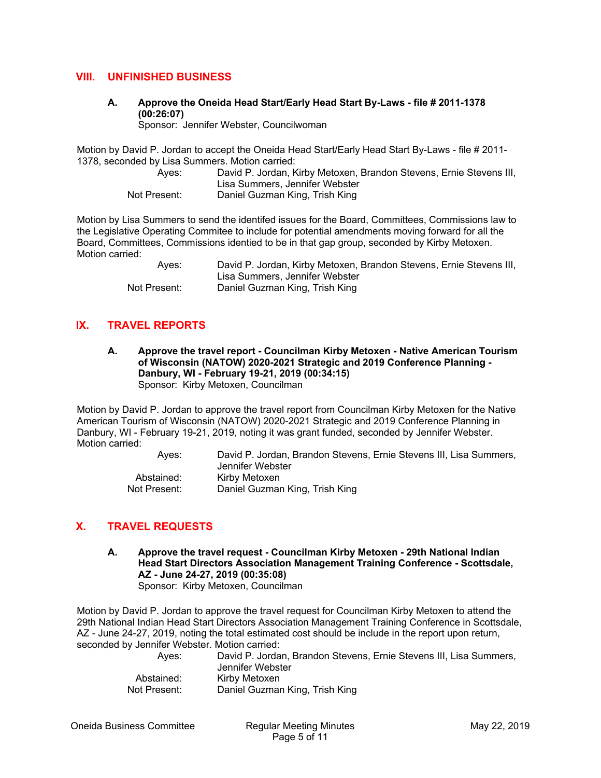## **VIII. UNFINISHED BUSINESS**

**A. Approve the Oneida Head Start/Early Head Start By-Laws - file # 2011-1378 (00:26:07)** 

Sponsor: Jennifer Webster, Councilwoman

Motion by David P. Jordan to accept the Oneida Head Start/Early Head Start By-Laws - file # 2011- 1378, seconded by Lisa Summers. Motion carried:

 Ayes: David P. Jordan, Kirby Metoxen, Brandon Stevens, Ernie Stevens III, Lisa Summers, Jennifer Webster Not Present: Daniel Guzman King, Trish King

Motion by Lisa Summers to send the identifed issues for the Board, Committees, Commissions law to the Legislative Operating Commitee to include for potential amendments moving forward for all the Board, Committees, Commissions identied to be in that gap group, seconded by Kirby Metoxen. Motion carried:

> Ayes: David P. Jordan, Kirby Metoxen, Brandon Stevens, Ernie Stevens III, Lisa Summers, Jennifer Webster Not Present: Daniel Guzman King, Trish King

# **IX. TRAVEL REPORTS**

**A. Approve the travel report - Councilman Kirby Metoxen - Native American Tourism of Wisconsin (NATOW) 2020-2021 Strategic and 2019 Conference Planning - Danbury, WI - February 19-21, 2019 (00:34:15)**  Sponsor: Kirby Metoxen, Councilman

Motion by David P. Jordan to approve the travel report from Councilman Kirby Metoxen for the Native American Tourism of Wisconsin (NATOW) 2020-2021 Strategic and 2019 Conference Planning in Danbury, WI - February 19-21, 2019, noting it was grant funded, seconded by Jennifer Webster. Motion carried:

> Ayes: David P. Jordan, Brandon Stevens, Ernie Stevens III, Lisa Summers, Jennifer Webster Abstained: Kirby Metoxen Not Present: Daniel Guzman King, Trish King

# **X. TRAVEL REQUESTS**

**A. Approve the travel request - Councilman Kirby Metoxen - 29th National Indian Head Start Directors Association Management Training Conference - Scottsdale, AZ - June 24-27, 2019 (00:35:08)**  Sponsor: Kirby Metoxen, Councilman

Motion by David P. Jordan to approve the travel request for Councilman Kirby Metoxen to attend the 29th National Indian Head Start Directors Association Management Training Conference in Scottsdale, AZ - June 24-27, 2019, noting the total estimated cost should be include in the report upon return, seconded by Jennifer Webster. Motion carried:

> Ayes: David P. Jordan, Brandon Stevens, Ernie Stevens III, Lisa Summers, Jennifer Webster Abstained: Kirby Metoxen Not Present: Daniel Guzman King, Trish King

Oneida Business Committee Regular Meeting Minutes May 22, 2019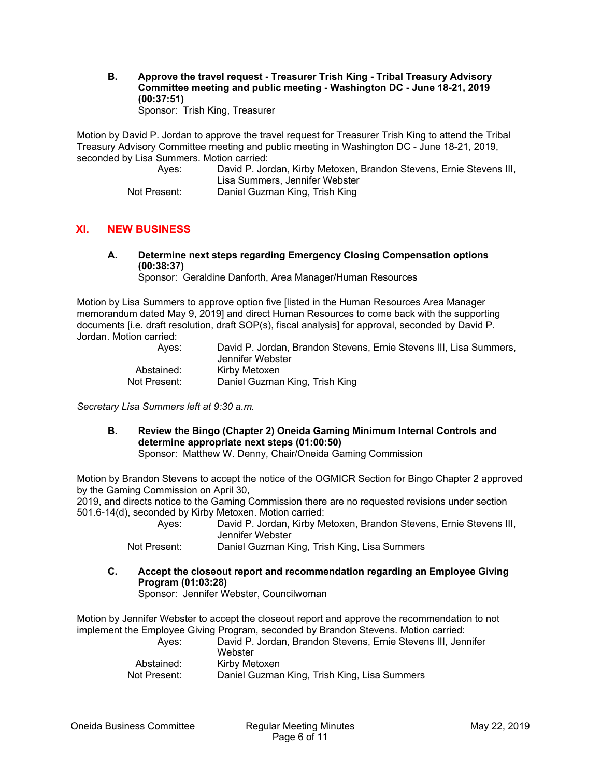**B. Approve the travel request - Treasurer Trish King - Tribal Treasury Advisory Committee meeting and public meeting - Washington DC - June 18-21, 2019 (00:37:51)**  Sponsor: Trish King, Treasurer

Motion by David P. Jordan to approve the travel request for Treasurer Trish King to attend the Tribal Treasury Advisory Committee meeting and public meeting in Washington DC - June 18-21, 2019, seconded by Lisa Summers. Motion carried:

| Aves:        | David P. Jordan, Kirby Metoxen, Brandon Stevens, Ernie Stevens III,<br>Lisa Summers, Jennifer Webster |
|--------------|-------------------------------------------------------------------------------------------------------|
| Not Present: | Daniel Guzman King, Trish King                                                                        |

## **XI. NEW BUSINESS**

**A. Determine next steps regarding Emergency Closing Compensation options (00:38:37)** 

Sponsor: Geraldine Danforth, Area Manager/Human Resources

Motion by Lisa Summers to approve option five [listed in the Human Resources Area Manager memorandum dated May 9, 2019] and direct Human Resources to come back with the supporting documents [i.e. draft resolution, draft SOP(s), fiscal analysis] for approval, seconded by David P. Jordan. Motion carried:

| Aves:        | David P. Jordan. Brandon Stevens. Ernie Stevens III. Lisa Summers.<br>Jennifer Webster |
|--------------|----------------------------------------------------------------------------------------|
| Abstained:   | Kirby Metoxen                                                                          |
| Not Present: | Daniel Guzman King, Trish King                                                         |

*Secretary Lisa Summers left at 9:30 a.m.* 

**B. Review the Bingo (Chapter 2) Oneida Gaming Minimum Internal Controls and determine appropriate next steps (01:00:50)** 

Sponsor: Matthew W. Denny, Chair/Oneida Gaming Commission

Motion by Brandon Stevens to accept the notice of the OGMICR Section for Bingo Chapter 2 approved by the Gaming Commission on April 30,

2019, and directs notice to the Gaming Commission there are no requested revisions under section 501.6-14(d), seconded by Kirby Metoxen. Motion carried:

| Aves: | David P. Jordan, Kirby Metoxen, Brandon Stevens, Ernie Stevens III, |
|-------|---------------------------------------------------------------------|
|       | Jennifer Webster                                                    |

Not Present: Daniel Guzman King, Trish King, Lisa Summers

**C. Accept the closeout report and recommendation regarding an Employee Giving Program (01:03:28)** 

Sponsor: Jennifer Webster, Councilwoman

Motion by Jennifer Webster to accept the closeout report and approve the recommendation to not implement the Employee Giving Program, seconded by Brandon Stevens. Motion carried: Ayes: David P. Jordan, Brandon Stevens, Ernie Stevens III, Jennifer

| AVGS.        | David F. JUIUAII, DIAIIUUII JIEVEIIS, LIIIIE JIEVEIIS III. |
|--------------|------------------------------------------------------------|
|              | Webster                                                    |
| Abstained:   | Kirby Metoxen                                              |
| Not Present: | Daniel Guzman King, Trish King, Lisa Summers               |
|              |                                                            |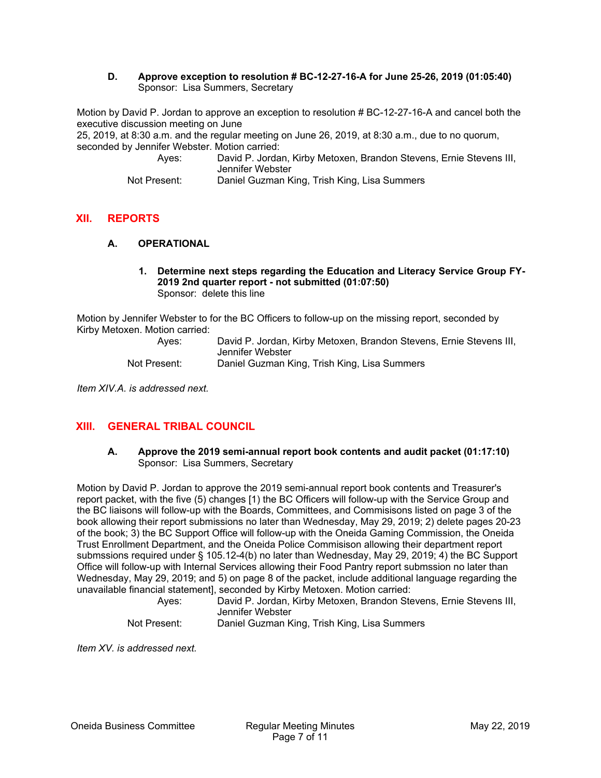#### **D. Approve exception to resolution # BC-12-27-16-A for June 25-26, 2019 (01:05:40)**  Sponsor: Lisa Summers, Secretary

Motion by David P. Jordan to approve an exception to resolution # BC-12-27-16-A and cancel both the executive discussion meeting on June

25, 2019, at 8:30 a.m. and the regular meeting on June 26, 2019, at 8:30 a.m., due to no quorum, seconded by Jennifer Webster. Motion carried:

 Ayes: David P. Jordan, Kirby Metoxen, Brandon Stevens, Ernie Stevens III, Jennifer Webster

Not Present: Daniel Guzman King, Trish King, Lisa Summers

# **XII. REPORTS**

#### **A. OPERATIONAL**

#### **1. Determine next steps regarding the Education and Literacy Service Group FY-2019 2nd quarter report - not submitted (01:07:50)**  Sponsor: delete this line

Motion by Jennifer Webster to for the BC Officers to follow-up on the missing report, seconded by Kirby Metoxen. Motion carried:

| Aves:        | David P. Jordan, Kirby Metoxen, Brandon Stevens, Ernie Stevens III, |
|--------------|---------------------------------------------------------------------|
|              | Jennifer Webster                                                    |
| Not Present: | Daniel Guzman King, Trish King, Lisa Summers                        |

*Item XIV.A. is addressed next.* 

# **XIII. GENERAL TRIBAL COUNCIL**

#### **A. Approve the 2019 semi-annual report book contents and audit packet (01:17:10)**  Sponsor: Lisa Summers, Secretary

Motion by David P. Jordan to approve the 2019 semi-annual report book contents and Treasurer's report packet, with the five (5) changes [1) the BC Officers will follow-up with the Service Group and the BC liaisons will follow-up with the Boards, Committees, and Commisisons listed on page 3 of the book allowing their report submissions no later than Wednesday, May 29, 2019; 2) delete pages 20-23 of the book; 3) the BC Support Office will follow-up with the Oneida Gaming Commission, the Oneida Trust Enrollment Department, and the Oneida Police Commisison allowing their department report submssions required under § 105.12-4(b) no later than Wednesday, May 29, 2019; 4) the BC Support Office will follow-up with Internal Services allowing their Food Pantry report submssion no later than Wednesday, May 29, 2019; and 5) on page 8 of the packet, include additional language regarding the unavailable financial statement], seconded by Kirby Metoxen. Motion carried:

| Aves:        | David P. Jordan, Kirby Metoxen, Brandon Stevens, Ernie Stevens III, |
|--------------|---------------------------------------------------------------------|
|              | Jennifer Webster                                                    |
| Not Present: | Daniel Guzman King, Trish King, Lisa Summers                        |

*Item XV. is addressed next.*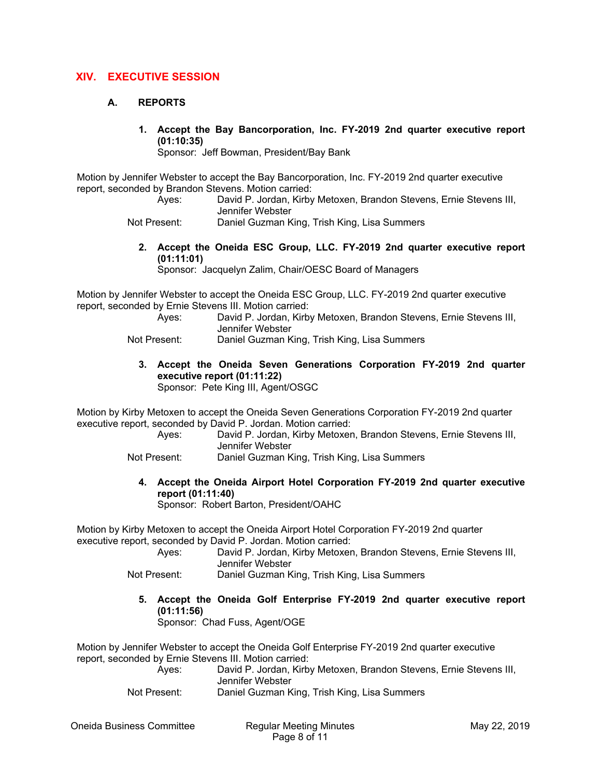## **XIV. EXECUTIVE SESSION**

#### **A. REPORTS**

**1. Accept the Bay Bancorporation, Inc. FY-2019 2nd quarter executive report (01:10:35)** 

Sponsor: Jeff Bowman, President/Bay Bank

Motion by Jennifer Webster to accept the Bay Bancorporation, Inc. FY-2019 2nd quarter executive report, seconded by Brandon Stevens. Motion carried:

- Ayes: David P. Jordan, Kirby Metoxen, Brandon Stevens, Ernie Stevens III, Jennifer Webster
- Not Present: Daniel Guzman King, Trish King, Lisa Summers
	- **2. Accept the Oneida ESC Group, LLC. FY-2019 2nd quarter executive report (01:11:01)**

Sponsor: Jacquelyn Zalim, Chair/OESC Board of Managers

Motion by Jennifer Webster to accept the Oneida ESC Group, LLC. FY-2019 2nd quarter executive report, seconded by Ernie Stevens III. Motion carried:

 Ayes: David P. Jordan, Kirby Metoxen, Brandon Stevens, Ernie Stevens III, Jennifer Webster Not Present: Daniel Guzman King, Trish King, Lisa Summers

**3. Accept the Oneida Seven Generations Corporation FY-2019 2nd quarter executive report (01:11:22)**  Sponsor: Pete King III, Agent/OSGC

Motion by Kirby Metoxen to accept the Oneida Seven Generations Corporation FY-2019 2nd quarter executive report, seconded by David P. Jordan. Motion carried:

 Ayes: David P. Jordan, Kirby Metoxen, Brandon Stevens, Ernie Stevens III, Jennifer Webster

Not Present: Daniel Guzman King, Trish King, Lisa Summers

**4. Accept the Oneida Airport Hotel Corporation FY-2019 2nd quarter executive report (01:11:40)** 

Sponsor: Robert Barton, President/OAHC

Motion by Kirby Metoxen to accept the Oneida Airport Hotel Corporation FY-2019 2nd quarter executive report, seconded by David P. Jordan. Motion carried:

| Aves:        | David P. Jordan, Kirby Metoxen, Brandon Stevens, Ernie Stevens III,<br>Jennifer Webster |
|--------------|-----------------------------------------------------------------------------------------|
| Not Drocont: | Daniel Cuzman King, Trich King, Lieg Summers                                            |

- Not Present: Daniel Guzman King, Trish King, Lisa Summers
	- **5. Accept the Oneida Golf Enterprise FY-2019 2nd quarter executive report (01:11:56)**

Sponsor: Chad Fuss, Agent/OGE

Motion by Jennifer Webster to accept the Oneida Golf Enterprise FY-2019 2nd quarter executive report, seconded by Ernie Stevens III. Motion carried:

 Ayes: David P. Jordan, Kirby Metoxen, Brandon Stevens, Ernie Stevens III, Jennifer Webster

Not Present: Daniel Guzman King, Trish King, Lisa Summers

Oneida Business Committee Regular Meeting Minutes May 22, 2019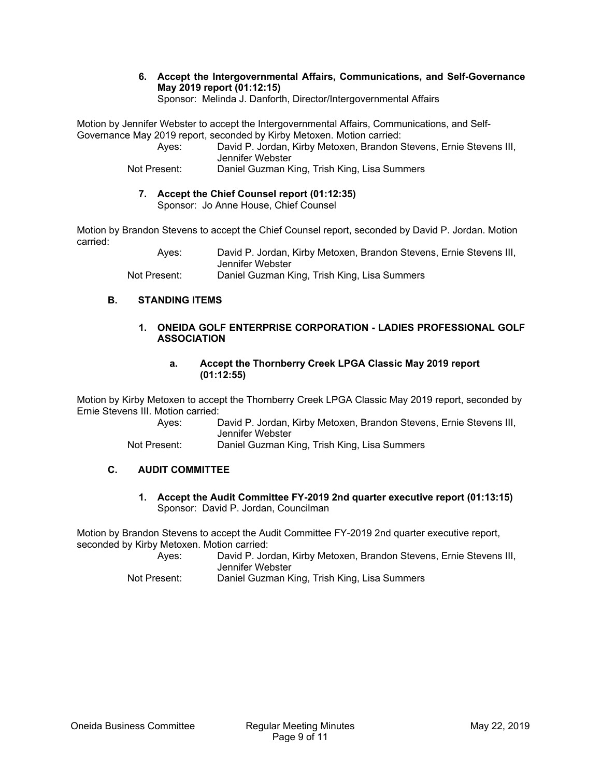#### **6. Accept the Intergovernmental Affairs, Communications, and Self-Governance May 2019 report (01:12:15)**  Sponsor: Melinda J. Danforth, Director/Intergovernmental Affairs

Motion by Jennifer Webster to accept the Intergovernmental Affairs, Communications, and Self-Governance May 2019 report, seconded by Kirby Metoxen. Motion carried:

 Ayes: David P. Jordan, Kirby Metoxen, Brandon Stevens, Ernie Stevens III, Jennifer Webster Not Present: Daniel Guzman King, Trish King, Lisa Summers

#### **7. Accept the Chief Counsel report (01:12:35)**  Sponsor: Jo Anne House, Chief Counsel

Motion by Brandon Stevens to accept the Chief Counsel report, seconded by David P. Jordan. Motion carried:

> Ayes: David P. Jordan, Kirby Metoxen, Brandon Stevens, Ernie Stevens III, Jennifer Webster Not Present: Daniel Guzman King, Trish King, Lisa Summers

## **B. STANDING ITEMS**

#### **1. ONEIDA GOLF ENTERPRISE CORPORATION - LADIES PROFESSIONAL GOLF ASSOCIATION**

#### **a. Accept the Thornberry Creek LPGA Classic May 2019 report (01:12:55)**

Motion by Kirby Metoxen to accept the Thornberry Creek LPGA Classic May 2019 report, seconded by Ernie Stevens III. Motion carried:

 Ayes: David P. Jordan, Kirby Metoxen, Brandon Stevens, Ernie Stevens III, Jennifer Webster

Not Present: Daniel Guzman King, Trish King, Lisa Summers

## **C. AUDIT COMMITTEE**

**1. Accept the Audit Committee FY-2019 2nd quarter executive report (01:13:15)**  Sponsor: David P. Jordan, Councilman

Motion by Brandon Stevens to accept the Audit Committee FY-2019 2nd quarter executive report, seconded by Kirby Metoxen. Motion carried:

 Ayes: David P. Jordan, Kirby Metoxen, Brandon Stevens, Ernie Stevens III, Jennifer Webster

Not Present: Daniel Guzman King, Trish King, Lisa Summers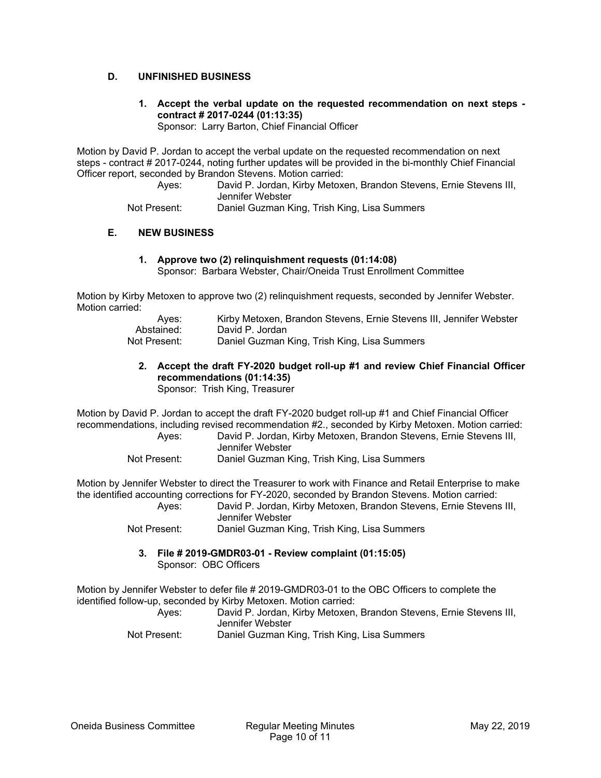## **D. UNFINISHED BUSINESS**

**1. Accept the verbal update on the requested recommendation on next steps contract # 2017-0244 (01:13:35)** 

Sponsor: Larry Barton, Chief Financial Officer

Motion by David P. Jordan to accept the verbal update on the requested recommendation on next steps - contract # 2017-0244, noting further updates will be provided in the bi-monthly Chief Financial Officer report, seconded by Brandon Stevens. Motion carried:

 Ayes: David P. Jordan, Kirby Metoxen, Brandon Stevens, Ernie Stevens III, Jennifer Webster

Not Present: Daniel Guzman King, Trish King, Lisa Summers

## **E. NEW BUSINESS**

**1. Approve two (2) relinquishment requests (01:14:08)**  Sponsor: Barbara Webster, Chair/Oneida Trust Enrollment Committee

Motion by Kirby Metoxen to approve two (2) relinquishment requests, seconded by Jennifer Webster. Motion carried:

| Aves:        | Kirby Metoxen, Brandon Stevens, Ernie Stevens III, Jennifer Webster |
|--------------|---------------------------------------------------------------------|
| Abstained:   | David P. Jordan                                                     |
| Not Present: | Daniel Guzman King, Trish King, Lisa Summers                        |

# **2. Accept the draft FY-2020 budget roll-up #1 and review Chief Financial Officer recommendations (01:14:35)**

Sponsor: Trish King, Treasurer

Motion by David P. Jordan to accept the draft FY-2020 budget roll-up #1 and Chief Financial Officer recommendations, including revised recommendation #2., seconded by Kirby Metoxen. Motion carried:

| Aves:        | David P. Jordan, Kirby Metoxen, Brandon Stevens, Ernie Stevens III, |
|--------------|---------------------------------------------------------------------|
|              | Jennifer Webster                                                    |
| Not Present: | Daniel Guzman King, Trish King, Lisa Summers                        |

Motion by Jennifer Webster to direct the Treasurer to work with Finance and Retail Enterprise to make the identified accounting corrections for FY-2020, seconded by Brandon Stevens. Motion carried:

 Ayes: David P. Jordan, Kirby Metoxen, Brandon Stevens, Ernie Stevens III, Jennifer Webster

Not Present: Daniel Guzman King, Trish King, Lisa Summers

**3. File # 2019-GMDR03-01 - Review complaint (01:15:05)**  Sponsor: OBC Officers

Motion by Jennifer Webster to defer file # 2019-GMDR03-01 to the OBC Officers to complete the identified follow-up, seconded by Kirby Metoxen. Motion carried:

 Ayes: David P. Jordan, Kirby Metoxen, Brandon Stevens, Ernie Stevens III, Jennifer Webster

Not Present: Daniel Guzman King, Trish King, Lisa Summers